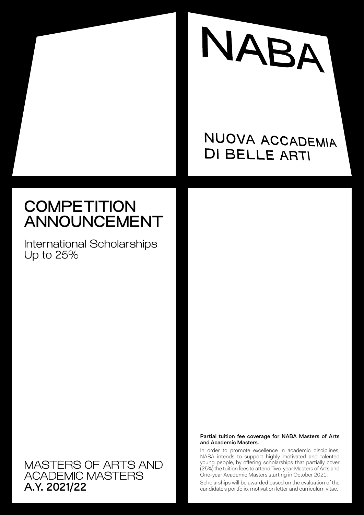

## NUOVA ACCADEMIA **DI BELLE ARTI**

# **COMPETITION** ANNOUNCEMENT

International Scholarships Up to 25%

MASTERS OF ARTS AND ACADEMIC MASTERS A.Y. 2021/22

### Partial tuition fee coverage for NABA Masters of Arts and Academic Masters.

In order to promote excellence in academic disciplines, NABA intends to support highly motivated and talented young people, by offering scholarships that partially cover (25%) the tuition fees to attend Two-year Masters of Arts and One-year Academic Masters starting in October 2021.

Scholarships will be awarded based on the evaluation of the candidate's portfolio, motivation letter and curriculum vitae.